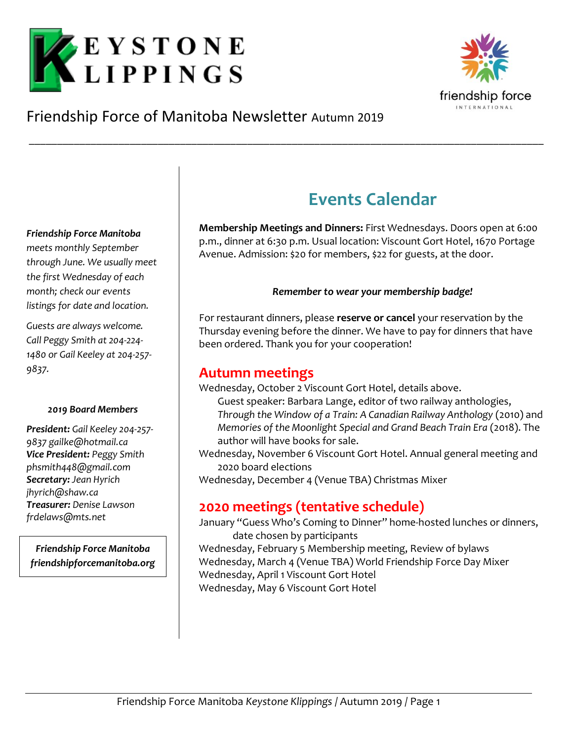



# Friendship Force of Manitoba Newsletter Autumn 2019

#### *Friendship Force Manitoba*

*meets monthly September through June. We usually meet the first Wednesday of each month; check our events listings for date and location.*

*Guests are always welcome. Call Peggy Smith at 204-224- 1480 or Gail Keeley at 204-257- 9837.*

#### *2019 Board Members*

*President: Gail Keeley 204-257- 9837 gailke@hotmail.ca Vice President: Peggy Smith phsmith448@gmail.com Secretary: Jean Hyrich jhyrich@shaw.ca Treasurer: Denise Lawson frdelaws@mts.net*

*Friendship Force Manitoba friendshipforcemanitoba.org*

# **Events Calendar**

**Membership Meetings and Dinners:** First Wednesdays. Doors open at 6:00 p.m., dinner at 6:30 p.m. Usual location: Viscount Gort Hotel, 1670 Portage Avenue. Admission: \$20 for members, \$22 for guests, at the door.

### *Remember to wear your membership badge!*

For restaurant dinners, please **reserve or cancel** your reservation by the Thursday evening before the dinner. We have to pay for dinners that have been ordered. Thank you for your cooperation!

## **Autumn meetings**

\_\_\_\_\_\_\_\_\_\_\_\_\_\_\_\_\_\_\_\_\_\_\_\_\_\_\_\_\_\_\_\_\_\_\_\_\_\_\_\_\_\_\_\_\_\_\_\_\_\_\_\_\_\_\_\_\_\_\_\_\_\_\_\_\_\_\_\_\_\_\_\_\_\_\_\_\_\_\_\_\_\_\_\_\_\_\_\_\_\_\_\_

Wednesday, October 2 Viscount Gort Hotel, details above.

Guest speaker: Barbara Lange, editor of two railway anthologies, *Through the Window of a Train: A Canadian Railway Anthology* (2010) and *Memories of the Moonlight Special and Grand Beach Train Era* (2018). The author will have books for sale.

Wednesday, November 6 Viscount Gort Hotel. Annual general meeting and 2020 board elections

Wednesday, December 4 (Venue TBA) Christmas Mixer

## **2020 meetings (tentative schedule)**

January "Guess Who's Coming to Dinner" home-hosted lunches or dinners, date chosen by participants Wednesday, February 5 Membership meeting, Review of bylaws Wednesday, March 4 (Venue TBA) World Friendship Force Day Mixer Wednesday, April 1 Viscount Gort Hotel Wednesday, May 6 Viscount Gort Hotel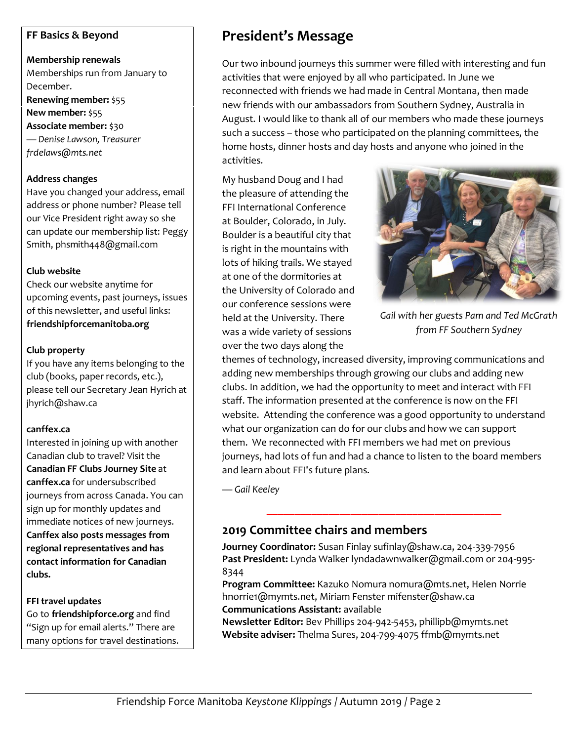## **FF Basics & Beyond**

**Membership renewals** Memberships run from January to December. **Renewing member:** \$55 **New member:** \$55 **Associate member:** \$30 *— Denise Lawson, Treasurer frdelaws@mts.net*

#### **Address changes**

Have you changed your address, email address or phone number? Please tell our Vice President right away so she can update our membership list: Peggy Smith, phsmith448@gmail.com

#### **Club website**

Check our website anytime for upcoming events, past journeys, issues of this newsletter, and useful links: **friendshipforcemanitoba.org**

#### **Club property**

If you have any items belonging to the club (books, paper records, etc.), please tell our Secretary Jean Hyrich at jhyrich@shaw.ca

### **canffex.ca**

Interested in joining up with another Canadian club to travel? Visit the **Canadian FF Clubs Journey Site** at **canffex.ca** for undersubscribed journeys from across Canada. You can sign up for monthly updates and immediate notices of new journeys. **Canffex also posts messages from regional representatives and has contact information for Canadian clubs.**

### **FFI travel updates**

Go to **friendshipforce.org** and find "Sign up for email alerts." There are many options for travel destinations.

# **President's Message**

Our two inbound journeys this summer were filled with interesting and fun activities that were enjoyed by all who participated. In June we reconnected with friends we had made in Central Montana, then made new friends with our ambassadors from Southern Sydney, Australia in August. I would like to thank all of our members who made these journeys such a success – those who participated on the planning committees, the home hosts, dinner hosts and day hosts and anyone who joined in the activities.

My husband Doug and I had the pleasure of attending the FFI International Conference at Boulder, Colorado, in July. Boulder is a beautiful city that is right in the mountains with lots of hiking trails. We stayed at one of the dormitories at the University of Colorado and our conference sessions were held at the University. There was a wide variety of sessions over the two days along the



*Gail with her guests Pam and Ted McGrath from FF Southern Sydney*

themes of technology, increased diversity, improving communications and adding new memberships through growing our clubs and adding new clubs. In addition, we had the opportunity to meet and interact with FFI staff. The information presented at the conference is now on the FFI website. Attending the conference was a good opportunity to understand what our organization can do for our clubs and how we can support them. We reconnected with FFI members we had met on previous journeys, had lots of fun and had a chance to listen to the board members and learn about FFI's future plans.

*— Gail Keeley*

## **2019 Committee chairs and members**

**Journey Coordinator:** Susan Finlay sufinlay@shaw.ca, 204-339-7956 **Past President:** Lynda Walke[r lyndadawnwalker@gmail.com](mailto:lyndadawnwalker@gmail.com) or 204-995- 8344

\_\_\_\_\_\_\_\_\_\_\_\_\_\_\_\_\_\_\_\_\_\_\_\_\_\_\_\_\_\_\_\_\_\_\_\_\_\_\_\_\_\_

**Program Committee:** Kazuko Nomura nomura@mts.net, Helen Norrie [hnorrie1@mymts.net,](mailto:hnorrie1@mymts.net) Miriam Fenster mifenster@shaw.ca **Communications Assistant:** available

**Newsletter Editor:** Bev Phillips 204-942-5453, phillipb@mymts.net **Website adviser:** Thelma Sures, 204-799-4075 [ffmb@mymts.net](mailto:ffmb@mymts.net)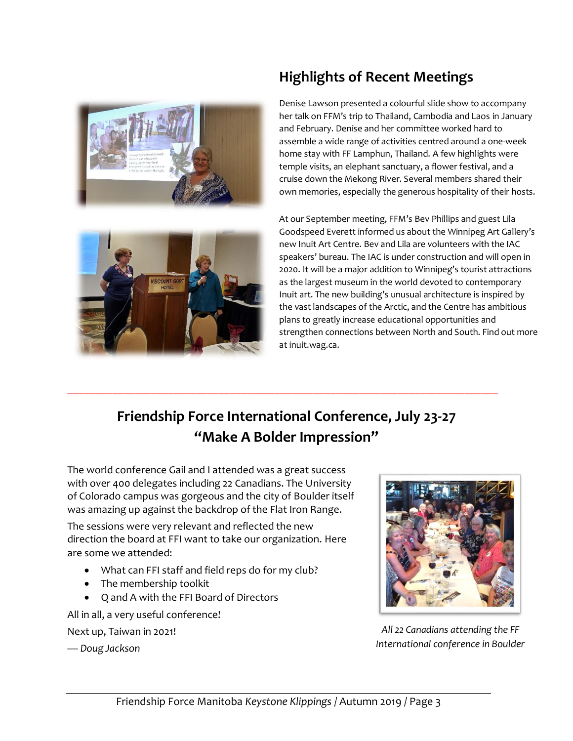



# **Highlights of Recent Meetings**

Denise Lawson presented a colourful slide show to accompany her talk on FFM's trip to Thailand, Cambodia and Laos in January and February. Denise and her committee worked hard to assemble a wide range of activities centred around a one-week home stay with FF Lamphun, Thailand. A few highlights were temple visits, an elephant sanctuary, a flower festival, and a cruise down the Mekong River. Several members shared their own memories, especially the generous hospitality of their hosts.

At our September meeting, FFM's Bev Phillips and guest Lila Goodspeed Everett informed us about the Winnipeg Art Gallery's new Inuit Art Centre. Bev and Lila are volunteers with the IAC speakers' bureau. The IAC is under construction and will open in 2020. It will be a major addition to Winnipeg's tourist attractions as the largest museum in the world devoted to contemporary Inuit art. The new building's unusual architecture is inspired by the vast landscapes of the Arctic, and the Centre has ambitious plans to greatly increase educational opportunities and strengthen connections between North and South. Find out more at inuit.wag.ca.

# **Friendship Force International Conference, July 23-27 "Make A Bolder Impression"**

\_\_\_\_\_\_\_\_\_\_\_\_\_\_\_\_\_\_\_\_\_\_\_\_\_\_\_\_\_\_\_\_\_\_\_\_\_\_\_\_\_\_\_\_\_\_\_\_\_\_\_\_\_\_\_\_\_\_\_\_\_\_\_\_\_\_\_\_\_\_\_\_\_\_\_\_\_

The world conference Gail and I attended was a great success with over 400 delegates including 22 Canadians. The University of Colorado campus was gorgeous and the city of Boulder itself was amazing up against the backdrop of the Flat Iron Range.

The sessions were very relevant and reflected the new direction the board at FFI want to take our organization. Here are some we attended:

- What can FFI staff and field reps do for my club?
- The membership toolkit
- Q and A with the FFI Board of Directors

All in all, a very useful conference!

Next up, Taiwan in 2021!

*— Doug Jackson*



*All 22 Canadians attending the FF International conference in Boulder*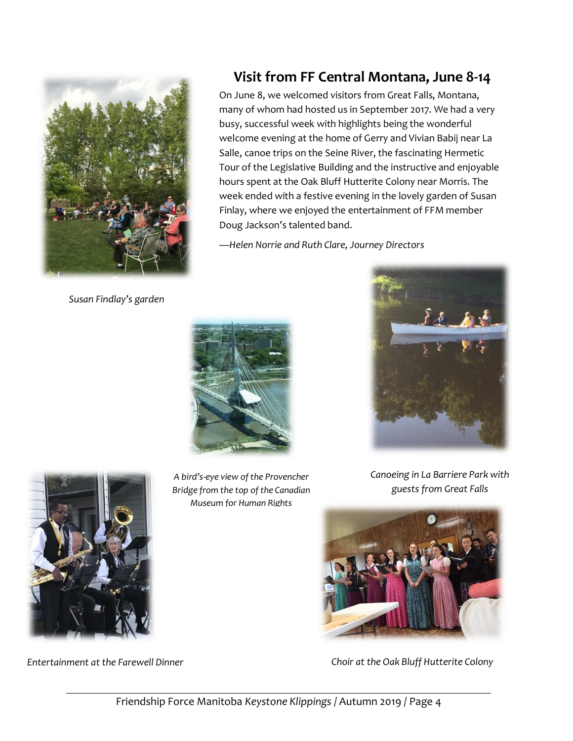

*Susan Findlay's garden*

*A bird's-eye view of the Provencher Bridge from the top of the Canadian Museum for Human Rights*

Doug Jackson's talented band.

![](_page_3_Picture_3.jpeg)

**Visit from FF Central Montana, June 8-14**

On June 8, we welcomed visitors from Great Falls, Montana, many of whom had hosted us in September 2017. We had a very busy, successful week with highlights being the wonderful welcome evening at the home of Gerry and Vivian Babij near La Salle, canoe trips on the Seine River, the fascinating Hermetic Tour of the Legislative Building and the instructive and enjoyable hours spent at the Oak Bluff Hutterite Colony near Morris. The week ended with a festive evening in the lovely garden of Susan Finlay, where we enjoyed the entertainment of FFM member

*Canoeing in La Barriere Park with guests from Great Falls*

![](_page_3_Picture_5.jpeg)

*Entertainment at the Farewell Dinner Choir at the Oak Bluff Hutterite Colony*

![](_page_3_Picture_7.jpeg)

![](_page_3_Picture_9.jpeg)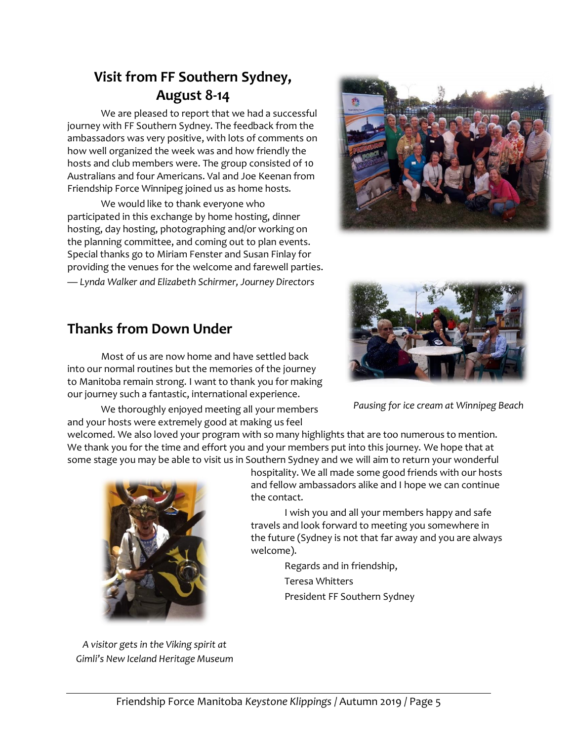# **Visit from FF Southern Sydney, August 8-14**

We are pleased to report that we had a successful journey with FF Southern Sydney. The feedback from the ambassadors was very positive, with lots of comments on how well organized the week was and how friendly the hosts and club members were. The group consisted of 10 Australians and four Americans. Val and Joe Keenan from Friendship Force Winnipeg joined us as home hosts.

We would like to thank everyone who participated in this exchange by home hosting, dinner hosting, day hosting, photographing and/or working on the planning committee, and coming out to plan events. Special thanks go to Miriam Fenster and Susan Finlay for providing the venues for the welcome and farewell parties. *— Lynda Walker and Elizabeth Schirmer, Journey Directors*

![](_page_4_Picture_3.jpeg)

## **Thanks from Down Under**

Most of us are now home and have settled back into our normal routines but the memories of the journey to Manitoba remain strong. I want to thank you for making our journey such a fantastic, international experience.

We thoroughly enjoyed meeting all your members and your hosts were extremely good at making us feel

welcomed. We also loved your program with so many highlights that are too numerous to mention. We thank you for the time and effort you and your members put into this journey. We hope that at some stage you may be able to visit us in Southern Sydney and we will aim to return your wonderful

![](_page_4_Picture_8.jpeg)

*A visitor gets in the Viking spirit at Gimli's New Iceland Heritage Museum* hospitality. We all made some good friends with our hosts and fellow ambassadors alike and I hope we can continue the contact.

I wish you and all your members happy and safe travels and look forward to meeting you somewhere in the future (Sydney is not that far away and you are always welcome).

> Regards and in friendship, Teresa Whitters President FF Southern Sydney

![](_page_4_Picture_13.jpeg)

*Pausing for ice cream at Winnipeg Beach*